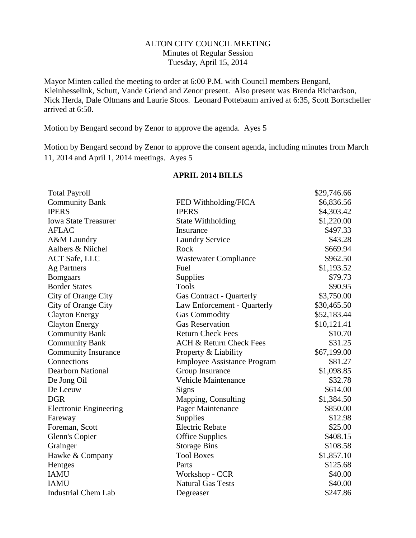#### ALTON CITY COUNCIL MEETING Minutes of Regular Session Tuesday, April 15, 2014

Mayor Minten called the meeting to order at 6:00 P.M. with Council members Bengard, Kleinhesselink, Schutt, Vande Griend and Zenor present. Also present was Brenda Richardson, Nick Herda, Dale Oltmans and Laurie Stoos. Leonard Pottebaum arrived at 6:35, Scott Bortscheller arrived at 6:50.

Motion by Bengard second by Zenor to approve the agenda. Ayes 5

Motion by Bengard second by Zenor to approve the consent agenda, including minutes from March 11, 2014 and April 1, 2014 meetings. Ayes 5

|                                    | \$29,746.66              |
|------------------------------------|--------------------------|
| FED Withholding/FICA               | \$6,836.56               |
| <b>IPERS</b>                       | \$4,303.42               |
|                                    | \$1,220.00               |
| Insurance                          | \$497.33                 |
| <b>Laundry Service</b>             | \$43.28                  |
| Rock                               | \$669.94                 |
| <b>Wastewater Compliance</b>       | \$962.50                 |
| Fuel                               | \$1,193.52               |
| Supplies                           | \$79.73                  |
| <b>Tools</b>                       | \$90.95                  |
| <b>Gas Contract - Quarterly</b>    | \$3,750.00               |
| Law Enforcement - Quarterly        | \$30,465.50              |
| <b>Gas Commodity</b>               | \$52,183.44              |
| <b>Gas Reservation</b>             | \$10,121.41              |
| <b>Return Check Fees</b>           | \$10.70                  |
| <b>ACH &amp; Return Check Fees</b> | \$31.25                  |
| Property & Liability               | \$67,199.00              |
| <b>Employee Assistance Program</b> | \$81.27                  |
| Group Insurance                    | \$1,098.85               |
| <b>Vehicle Maintenance</b>         | \$32.78                  |
| Signs                              | \$614.00                 |
| Mapping, Consulting                | \$1,384.50               |
| Pager Maintenance                  | \$850.00                 |
| Supplies                           | \$12.98                  |
| <b>Electric Rebate</b>             | \$25.00                  |
| <b>Office Supplies</b>             | \$408.15                 |
| <b>Storage Bins</b>                | \$108.58                 |
| <b>Tool Boxes</b>                  | \$1,857.10               |
| Parts                              | \$125.68                 |
| Workshop - CCR                     | \$40.00                  |
| <b>Natural Gas Tests</b>           | \$40.00                  |
| Degreaser                          | \$247.86                 |
|                                    | <b>State Withholding</b> |

#### **APRIL 2014 BILLS**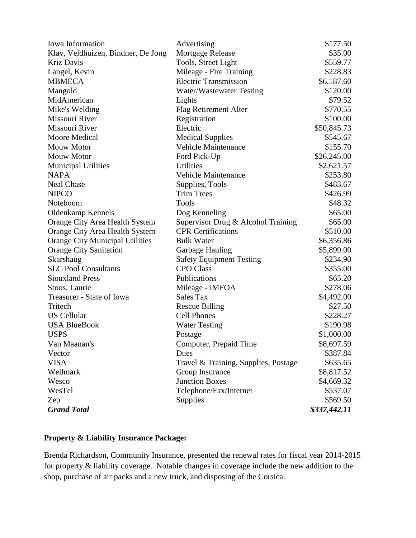| Iowa Information                   | Advertising                          | \$177.50     |
|------------------------------------|--------------------------------------|--------------|
| Klay, Veldhuizen, Bindner, De Jong | Mortgage Release                     | \$35.00      |
| <b>Kriz Davis</b>                  | Tools, Street Light                  | \$559.77     |
| Langel, Kevin                      | Mileage - Fire Training              | \$228.83     |
| <b>MBMECA</b>                      | <b>Electric Transmission</b>         | \$6,187.60   |
| Mangold                            | Water/Wastewater Testing             | \$120.00     |
| MidAmerican                        | Lights                               | \$79.52      |
| Mike's Welding                     | <b>Flag Retirement Alter</b>         | \$770.55     |
| Missouri River                     | Registration                         | \$100.00     |
| Missouri River                     | Electric                             | \$50,845.73  |
| Moore Medical                      | <b>Medical Supplies</b>              | \$545.67     |
| <b>Mouw Motor</b>                  | <b>Vehicle Maintenance</b>           | \$155.70     |
| <b>Mouw Motor</b>                  | Ford Pick-Up                         | \$26,245.00  |
| <b>Municipal Utilities</b>         | <b>Utilities</b>                     | \$2,621.57   |
| <b>NAPA</b>                        | <b>Vehicle Maintenance</b>           | \$253.80     |
| <b>Neal Chase</b>                  | Supplies, Tools                      | \$483.67     |
| <b>NIPCO</b>                       | <b>Trim Trees</b>                    | \$426.99     |
| Noteboom                           | Tools                                | \$48.32      |
| <b>Oldenkamp Kennels</b>           | Dog Kenneling                        | \$65.00      |
| Orange City Area Health System     | Supervisor Drug & Alcohol Training   | \$65.00      |
| Orange City Area Health System     | <b>CPR</b> Certifications            | \$510.00     |
| Orange City Municipal Utilities    | <b>Bulk Water</b>                    | \$6,356.86   |
| <b>Orange City Sanitation</b>      | Garbage Hauling                      | \$5,899.00   |
| Skarshaug                          | <b>Safety Equipment Testing</b>      | \$234.90     |
| <b>SLC Pool Consultants</b>        | <b>CPO Class</b>                     | \$355.00     |
| <b>Siouxland Press</b>             | Publications                         | \$65.20      |
| Stoos, Laurie                      | Mileage - IMFOA                      | \$278.06     |
| Treasurer - State of Iowa          | Sales Tax                            | \$4,492.00   |
| Tritech                            | <b>Rescue Billing</b>                | \$27.50      |
| <b>US Cellular</b>                 | <b>Cell Phones</b>                   | \$228.27     |
| <b>USA BlueBook</b>                | <b>Water Testing</b>                 | \$190.98     |
| <b>USPS</b>                        | Postage                              | \$1,000.00   |
| Van Maanan's                       | Computer, Prepaid Time               | \$8,697.59   |
| Vector                             | Dues                                 | \$387.84     |
| <b>VISA</b>                        | Travel & Training, Supplies, Postage | \$635.65     |
| Wellmark                           | Group Insurance                      | \$8,817.52   |
| Wesco                              | <b>Junction Boxes</b>                | \$4,669.32   |
| WesTel                             | Telephone/Fax/Internet               | \$537.07     |
| Zep                                | Supplies                             | \$569.50     |
| <b>Grand Total</b>                 |                                      | \$337,442.11 |

# **Property & Liability Insurance Package:**

Brenda Richardson, Community Insurance, presented the renewal rates for fiscal year 2014-2015 for property & liability coverage. Notable changes in coverage include the new addition to the shop, purchase of air packs and a new truck, and disposing of the Corsica.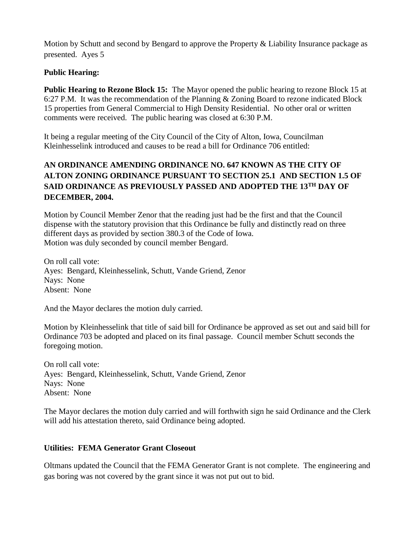Motion by Schutt and second by Bengard to approve the Property & Liability Insurance package as presented. Ayes 5

### **Public Hearing:**

**Public Hearing to Rezone Block 15:** The Mayor opened the public hearing to rezone Block 15 at 6:27 P.M. It was the recommendation of the Planning & Zoning Board to rezone indicated Block 15 properties from General Commercial to High Density Residential. No other oral or written comments were received. The public hearing was closed at 6:30 P.M.

It being a regular meeting of the City Council of the City of Alton, Iowa, Councilman Kleinhesselink introduced and causes to be read a bill for Ordinance 706 entitled:

# **AN ORDINANCE AMENDING ORDINANCE NO. 647 KNOWN AS THE CITY OF ALTON ZONING ORDINANCE PURSUANT TO SECTION 25.1 AND SECTION 1.5 OF SAID ORDINANCE AS PREVIOUSLY PASSED AND ADOPTED THE 13TH DAY OF DECEMBER, 2004.**

Motion by Council Member Zenor that the reading just had be the first and that the Council dispense with the statutory provision that this Ordinance be fully and distinctly read on three different days as provided by section 380.3 of the Code of Iowa. Motion was duly seconded by council member Bengard.

On roll call vote: Ayes: Bengard, Kleinhesselink, Schutt, Vande Griend, Zenor Nays: None Absent: None

And the Mayor declares the motion duly carried.

Motion by Kleinhesselink that title of said bill for Ordinance be approved as set out and said bill for Ordinance 703 be adopted and placed on its final passage. Council member Schutt seconds the foregoing motion.

On roll call vote: Ayes: Bengard, Kleinhesselink, Schutt, Vande Griend, Zenor Nays: None Absent: None

The Mayor declares the motion duly carried and will forthwith sign he said Ordinance and the Clerk will add his attestation thereto, said Ordinance being adopted.

#### **Utilities: FEMA Generator Grant Closeout**

Oltmans updated the Council that the FEMA Generator Grant is not complete. The engineering and gas boring was not covered by the grant since it was not put out to bid.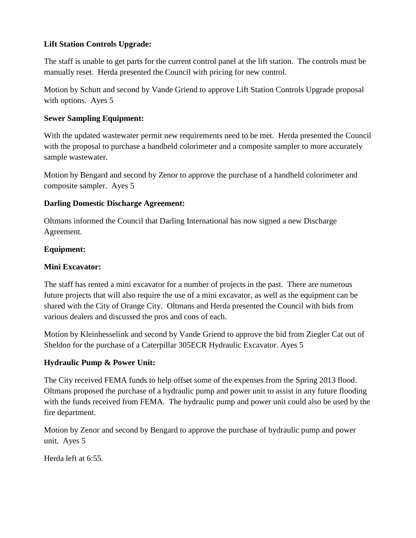### **Lift Station Controls Upgrade:**

The staff is unable to get parts for the current control panel at the lift station. The controls must be manually reset. Herda presented the Council with pricing for new control.

Motion by Schutt and second by Vande Griend to approve Lift Station Controls Upgrade proposal with options. Ayes 5

### **Sewer Sampling Equipment:**

With the updated wastewater permit new requirements need to be met. Herda presented the Council with the proposal to purchase a handheld colorimeter and a composite sampler to more accurately sample wastewater.

Motion by Bengard and second by Zenor to approve the purchase of a handheld colorimeter and composite sampler. Ayes 5

### **Darling Domestic Discharge Agreement:**

Oltmans informed the Council that Darling International has now signed a new Discharge Agreement.

### **Equipment:**

### **Mini Excavator:**

The staff has rented a mini excavator for a number of projects in the past. There are numerous future projects that will also require the use of a mini excavator, as well as the equipment can be shared with the City of Orange City. Oltmans and Herda presented the Council with bids from various dealers and discussed the pros and cons of each.

Motion by Kleinhesselink and second by Vande Griend to approve the bid from Ziegler Cat out of Sheldon for the purchase of a Caterpillar 305ECR Hydraulic Excavator. Ayes 5

## **Hydraulic Pump & Power Unit:**

The City received FEMA funds to help offset some of the expenses from the Spring 2013 flood. Oltmans proposed the purchase of a hydraulic pump and power unit to assist in any future flooding with the funds received from FEMA. The hydraulic pump and power unit could also be used by the fire department.

Motion by Zenor and second by Bengard to approve the purchase of hydraulic pump and power unit. Ayes 5

Herda left at 6:55.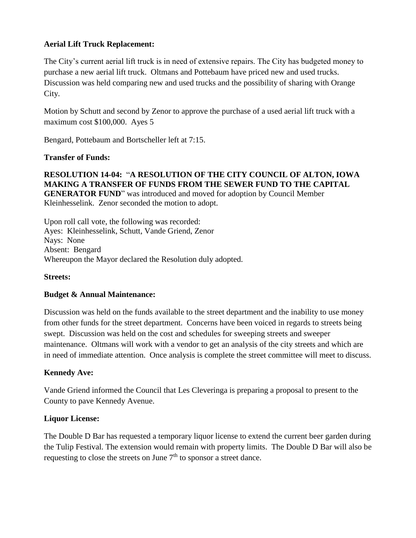#### **Aerial Lift Truck Replacement:**

The City's current aerial lift truck is in need of extensive repairs. The City has budgeted money to purchase a new aerial lift truck. Oltmans and Pottebaum have priced new and used trucks. Discussion was held comparing new and used trucks and the possibility of sharing with Orange City.

Motion by Schutt and second by Zenor to approve the purchase of a used aerial lift truck with a maximum cost \$100,000. Ayes 5

Bengard, Pottebaum and Bortscheller left at 7:15.

#### **Transfer of Funds:**

**RESOLUTION 14-04:** "**A RESOLUTION OF THE CITY COUNCIL OF ALTON, IOWA MAKING A TRANSFER OF FUNDS FROM THE SEWER FUND TO THE CAPITAL GENERATOR FUND**" was introduced and moved for adoption by Council Member Kleinhesselink. Zenor seconded the motion to adopt.

Upon roll call vote, the following was recorded: Ayes: Kleinhesselink, Schutt, Vande Griend, Zenor Nays: None Absent: Bengard Whereupon the Mayor declared the Resolution duly adopted.

#### **Streets:**

#### **Budget & Annual Maintenance:**

Discussion was held on the funds available to the street department and the inability to use money from other funds for the street department. Concerns have been voiced in regards to streets being swept. Discussion was held on the cost and schedules for sweeping streets and sweeper maintenance. Oltmans will work with a vendor to get an analysis of the city streets and which are in need of immediate attention. Once analysis is complete the street committee will meet to discuss.

#### **Kennedy Ave:**

Vande Griend informed the Council that Les Cleveringa is preparing a proposal to present to the County to pave Kennedy Avenue.

#### **Liquor License:**

The Double D Bar has requested a temporary liquor license to extend the current beer garden during the Tulip Festival. The extension would remain with property limits. The Double D Bar will also be requesting to close the streets on June  $7<sup>th</sup>$  to sponsor a street dance.